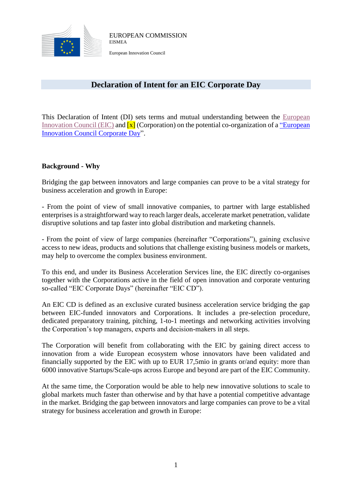

## **Declaration of Intent for an EIC Corporate Day**

This Declaration of Intent (DI) sets terms and mutual understanding between the [European](https://ec.europa.eu/research/eic/index.cfm)  [Innovation Council \(EIC\)](https://ec.europa.eu/research/eic/index.cfm) and  $\overline{x}$  (Corporation) on the potential co-organization of a "European [Innovation Council Corporate Day"](https://ec.europa.eu/easme/en/news/boost-your-network-eic-corporate-days).

## **Background - Why**

Bridging the gap between innovators and large companies can prove to be a vital strategy for business acceleration and growth in Europe:

- From the point of view of small innovative companies, to partner with large established enterprises is a straightforward way to reach larger deals, accelerate market penetration, validate disruptive solutions and tap faster into global distribution and marketing channels.

- From the point of view of large companies (hereinafter "Corporations"), gaining exclusive access to new ideas, products and solutions that challenge existing business models or markets, may help to overcome the complex business environment.

To this end, and under its Business Acceleration Services line, the EIC directly co-organises together with the Corporations active in the field of open innovation and corporate venturing so-called "EIC Corporate Days" (hereinafter "EIC CD").

An EIC CD is defined as an exclusive curated business acceleration service bridging the gap between EIC-funded innovators and Corporations. It includes a pre-selection procedure, dedicated preparatory training, pitching, 1-to-1 meetings and networking activities involving the Corporation's top managers, experts and decision-makers in all steps.

The Corporation will benefit from collaborating with the EIC by gaining direct access to innovation from a wide European ecosystem whose innovators have been validated and financially supported by the EIC with up to EUR 17,5mio in grants or/and equity: more than 6000 innovative Startups/Scale-ups across Europe and beyond are part of the EIC Community.

At the same time, the Corporation would be able to help new innovative solutions to scale to global markets much faster than otherwise and by that have a potential competitive advantage in the market. Bridging the gap between innovators and large companies can prove to be a vital strategy for business acceleration and growth in Europe: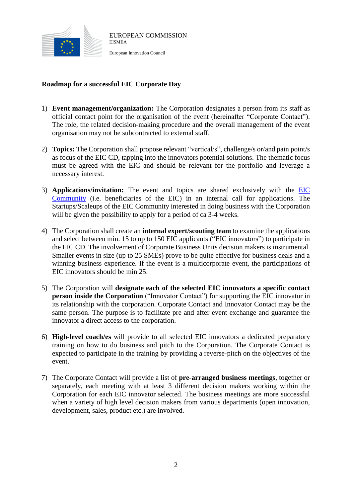

## **Roadmap for a successful EIC Corporate Day**

- 1) **Event management/organization:** The Corporation designates a person from its staff as official contact point for the organisation of the event (hereinafter "Corporate Contact"). The role, the related decision-making procedure and the overall management of the event organisation may not be subcontracted to external staff.
- 2) **Topics:** The Corporation shall propose relevant "vertical/s", challenge/s or/and pain point/s as focus of the EIC CD, tapping into the innovators potential solutions. The thematic focus must be agreed with the EIC and should be relevant for the portfolio and leverage a necessary interest.
- 3) **Applications/invitation:** The event and topics are shared exclusively with the [EIC](https://ec.europa.eu/easme/en/section/sme-instrument/eic-community-platform)  [Community](https://ec.europa.eu/easme/en/section/sme-instrument/eic-community-platform) (i.e. beneficiaries of the EIC) in an internal call for applications. The Startups/Scaleups of the EIC Community interested in doing business with the Corporation will be given the possibility to apply for a period of ca 3-4 weeks.
- 4) The Corporation shall create an **internal expert/scouting team** to examine the applications and select between min. 15 to up to 150 EIC applicants ("EIC innovators") to participate in the EIC CD. The involvement of Corporate Business Units decision makers is instrumental. Smaller events in size (up to 25 SMEs) prove to be quite effective for business deals and a winning business experience. If the event is a multicorporate event, the participations of EIC innovators should be min 25.
- 5) The Corporation will **designate each of the selected EIC innovators a specific contact person inside the Corporation** ("Innovator Contact") for supporting the EIC innovator in its relationship with the corporation. Corporate Contact and Innovator Contact may be the same person. The purpose is to facilitate pre and after event exchange and guarantee the innovator a direct access to the corporation.
- 6) **High-level coach/es** will provide to all selected EIC innovators a dedicated preparatory training on how to do business and pitch to the Corporation. The Corporate Contact is expected to participate in the training by providing a reverse-pitch on the objectives of the event.
- 7) The Corporate Contact will provide a list of **pre-arranged business meetings**, together or separately, each meeting with at least 3 different decision makers working within the Corporation for each EIC innovator selected. The business meetings are more successful when a variety of high level decision makers from various departments (open innovation, development, sales, product etc.) are involved.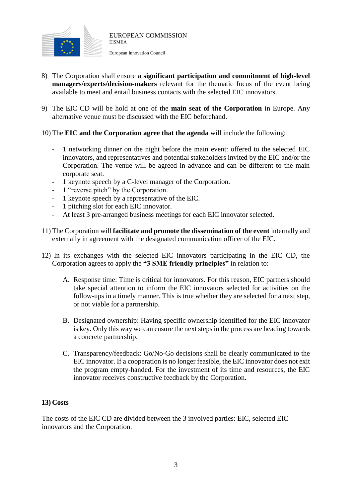

- European Innovation Council
- 8) The Corporation shall ensure **a significant participation and commitment of high-level managers/experts/decision-makers** relevant for the thematic focus of the event being available to meet and entail business contacts with the selected EIC innovators.
- 9) The EIC CD will be hold at one of the **main seat of the Corporation** in Europe. Any alternative venue must be discussed with the EIC beforehand.
- 10) The **EIC and the Corporation agree that the agenda** will include the following:
	- 1 networking dinner on the night before the main event: offered to the selected EIC innovators, and representatives and potential stakeholders invited by the EIC and/or the Corporation. The venue will be agreed in advance and can be different to the main corporate seat.
	- 1 keynote speech by a C-level manager of the Corporation.
	- 1 "reverse pitch" by the Corporation.
	- 1 keynote speech by a representative of the EIC.
	- 1 pitching slot for each EIC innovator.
	- At least 3 pre-arranged business meetings for each EIC innovator selected.
- 11) The Corporation will **facilitate and promote the dissemination of the event** internally and externally in agreement with the designated communication officer of the EIC.
- 12) In its exchanges with the selected EIC innovators participating in the EIC CD, the Corporation agrees to apply the **"3 SME friendly principles"** in relation to:
	- A. Response time: Time is critical for innovators. For this reason, EIC partners should take special attention to inform the EIC innovators selected for activities on the follow-ups in a timely manner. This is true whether they are selected for a next step, or not viable for a partnership.
	- B. Designated ownership: Having specific ownership identified for the EIC innovator is key. Only this way we can ensure the next steps in the process are heading towards a concrete partnership.
	- C. Transparency/feedback: Go/No-Go decisions shall be clearly communicated to the EIC innovator. If a cooperation is no longer feasible, the EIC innovator does not exit the program empty-handed. For the investment of its time and resources, the EIC innovator receives constructive feedback by the Corporation.

## **13) Costs**

The costs of the EIC CD are divided between the 3 involved parties: EIC, selected EIC innovators and the Corporation.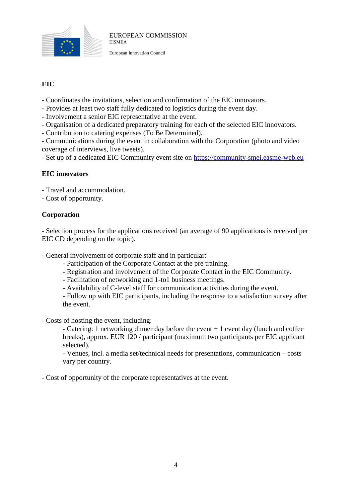

European Innovation Council

## **EIC**

- Coordinates the invitations, selection and confirmation of the EIC innovators.
- Provides at least two staff fully dedicated to logistics during the event day.
- Involvement a senior EIC representative at the event.
- Organisation of a dedicated preparatory training for each of the selected EIC innovators.
- Contribution to catering expenses (To Be Determined).

- Communications during the event in collaboration with the Corporation (photo and video coverage of interviews, live tweets).

- Set up of a dedicated EIC Community event site on [https://community-smei.easme-web.eu](https://community-smei.easme-web.eu/)

### **EIC innovators**

- Travel and accommodation.
- Cost of opportunity.

### **Corporation**

- Selection process for the applications received (an average of 90 applications is received per EIC CD depending on the topic).

- General involvement of corporate staff and in particular:

- Participation of the Corporate Contact at the pre training.
- Registration and involvement of the Corporate Contact in the EIC Community.
- Facilitation of networking and 1-to1 business meetings.
- Availability of C-level staff for communication activities during the event.

- Follow up with EIC participants, including the response to a satisfaction survey after the event.

- Costs of hosting the event, including:

- Catering: 1 networking dinner day before the event  $+1$  event day (lunch and coffee breaks), approx. EUR 120 / participant (maximum two participants per EIC applicant selected).

- Venues, incl. a media set/technical needs for presentations, communication – costs vary per country.

- Cost of opportunity of the corporate representatives at the event.